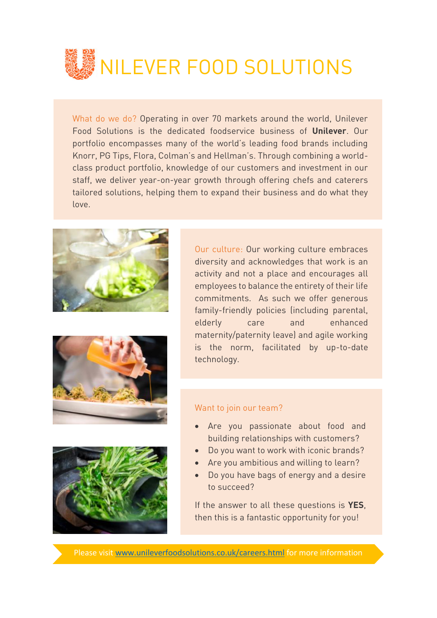

What do we do? Operating in over 70 markets around the world, Unilever Food Solutions is the dedicated foodservice business of **Unilever**. Our portfolio encompasses many of the world's leading food brands including Knorr, PG Tips, Flora, Colman's and Hellman's. Through combining a worldclass product portfolio, knowledge of our customers and investment in our staff, we deliver year-on-year growth through offering chefs and caterers tailored solutions, helping them to expand their business and do what they love.







Our culture: Our working culture embraces diversity and acknowledges that work is an activity and not a place and encourages all employees to balance the entirety of their life commitments. As such we offer generous family-friendly policies (including parental, elderly care and enhanced maternity/paternity leave) and agile working is the norm, facilitated by up-to-date technology.

## Want to join our team?

- Are you passionate about food and building relationships with customers?
- Do you want to work with iconic brands?
- Are you ambitious and willing to learn?
- Do you have bags of energy and a desire to succeed?

If the answer to all these questions is **YES**, then this is a fantastic opportunity for you!

Please visit [www.unileverfoodsolutions.co.uk/careers.html](http://www.unileverfoodsolutions.co.uk/careers.html) for more information